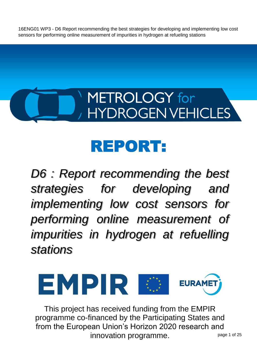# <span id="page-0-0"></span>METROLOGY for **HYDROGEN VEHICLES**

# REPORT:

*D6 : Report recommending the best strategies for developing and implementing low cost sensors for performing online measurement of impurities in hydrogen at refuelling stations*



This project has received funding from the EMPIR programme co-financed by the Participating States and from the European Union's Horizon 2020 research and innovation programme.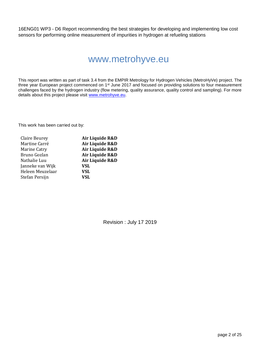# www.metrohyve.eu

This report was written as part of task 3.4 from the EMPIR Metrology for Hydrogen Vehicles (MetroHyVe) project. The three year European project commenced on 1st June 2017 and focused on providing solutions to four measurement challenges faced by the hydrogen industry (flow metering, quality assurance, quality control and sampling). For more details about this project please visit [www.metrohyve.eu.](http://www.metrohyve.eu/)

This work has been carried out by:

| Claire Beurey    | Air Liquide R&D |
|------------------|-----------------|
| Martine Carré    | Air Liquide R&D |
| Marine Catry     | Air Liquide R&D |
| Bruno Gozlan     | Air Liquide R&D |
| Nathalie Luu     | Air Liquide R&D |
| Janneke van Wijk | <b>VSL</b>      |
| Heleen Meuzelaar | <b>VSL</b>      |
| Stefan Persijn   | VSL             |
|                  |                 |

Revision : July 17 2019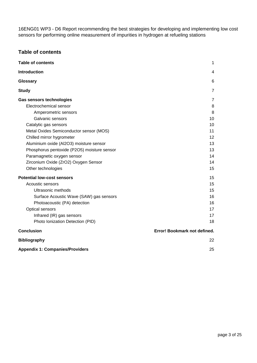# **Table of contents**

| <b>Table of contents</b>                    | 1                            |
|---------------------------------------------|------------------------------|
| <b>Introduction</b>                         | 4                            |
| Glossary                                    | 6                            |
| <b>Study</b>                                | $\overline{7}$               |
| <b>Gas sensors technologies</b>             | 7                            |
| Electrochemical sensor                      | 8                            |
| Amperometric sensors                        | 8                            |
| Galvanic sensors                            | 10                           |
| Catalytic gas sensors                       | 10                           |
| Metal Oxides Semiconductor sensor (MOS)     | 11                           |
| Chilled mirror hygrometer                   | 12                           |
| Aluminium oxide (Al2O3) moisture sensor     | 13                           |
| Phosphorus pentoxide (P2O5) moisture sensor | 13                           |
| Paramagnetic oxygen sensor                  | 14                           |
| Zirconium Oxide (ZrO2) Oxygen Sensor        | 14                           |
| Other technologies                          | 15                           |
| <b>Potential low-cost sensors</b>           | 15                           |
| Acoustic sensors                            | 15                           |
| Ultrasonic methods                          | 15                           |
| Surface Acoustic Wave (SAW) gas sensors     | 16                           |
| Photoacoustic (PA) detection                | 16                           |
| Optical sensors                             | 17                           |
| Infrared (IR) gas sensors                   | 17                           |
| Photo Ionization Detection (PID)            | 18                           |
| <b>Conclusion</b>                           | Error! Bookmark not defined. |
| <b>Bibliography</b>                         | 22                           |
| <b>Appendix 1: Companies/Providers</b>      | 25                           |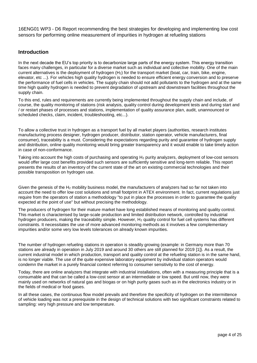### <span id="page-3-0"></span>**Introduction**

In the next decade the EU's top priority is to decarbonize large parts of the energy system. This energy transition faces many challenges, in particular for a diverse market such as individual and collective mobility. One of the main current alternatives is the deployment of hydrogen  $(H<sub>2</sub>)$  for the transport market (boat, car, train, bike, engine, elevator, etc ...). For vehicles high quality hydrogen is needed to ensure efficient energy conversion and to preserve the performance of fuel cells in vehicles. The supply chain should not add pollutants to the hydrogen and at the same time high quality hydrogen is needed to prevent degradation of upstream and downstream facilities throughout the supply chain.

To this end, rules and requirements are currently being implemented throughout the supply chain and include, of course, the quality monitoring of stations (risk analysis, quality control during development tests and during start and / or restart phases of processes and stations, implementation of quality assurance plan, audit, unannounced or scheduled checks, claim, incident, troubleshooting, etc...).

To allow a collective trust in hydrogen as a transport fuel by all market players (authorities, research institutes manufacturing process designer, hydrogen producer, distributor, station operator, vehicle manufacturers, final consumer), traceability is a must. Considering the expectations regarding purity and guarantee of hydrogen supply and distribution, online quality monitoring would bring greater transparency and it would enable to take timely action in case of non-conformance.

Taking into account the high costs of purchasing and operating H<sup>2</sup> purity analyzers, deployment of low-cost sensors would offer large cost benefits provided such sensors are sufficiently sensitive and long-term reliable. This report presents the results of an inventory of the current state of the art on existing commercial technologies and their possible transposition on hydrogen use.

Given the genesis of the  $H_2$  mobility business model, the manufacturers of analyzers had so far not taken into account the need to offer low cost solutions and small footprint in ATEX environment. In fact, current regulations just require from the operators of station a methodology "to put in place the processes in order to guarantee the quality expected at the point of use" but without precising the methodology.

The producers of hydrogen for their mature market have long established means of monitoring and quality control. This market is characterised by large-scale production and limited distribution network, controlled by industrial hydrogen producers, making the traceability simple. However, H<sub>2</sub> quality control for fuel cell systems has different constraints. It necessitates the use of more advanced monitoring methods as it involves a few complementary impurities and/or some very low levels tolerances on already known impurities.

The number of hydrogen refueling stations in operation is steadily growing (example: in Germany more than 70 stations are already in operation in July 2019 and around 30 others are still planned for 2019 [\[1\]\)](https://www.zotero.org/google-docs/?mC6jlL). As a result, the current industrial model in which production, transport and quality control at the refueling station is in the same hand, is no longer viable. The use of the quite expensive laboratory equipment by individual station operators would condemn the market in a purely financial context referring to consumer sensitivity to the cost of energy.

Today, there are online analyzers that integrate with industrial installations, often with a measuring principle that is a consumable and that can be called a low-cost sensor at an intermediate or low speed. But until now, they were mainly used on networks of natural gas and biogas or on high purity gases such as in the electronics industry or in the fields of medical or food gases.

In all these cases, the continuous flow model prevails and therefore the specificity of hydrogen on the intermittence of vehicle loading was not a prerequisite in the design of technical solutions with two significant constraints related to sampling: very high pressure and low temperature.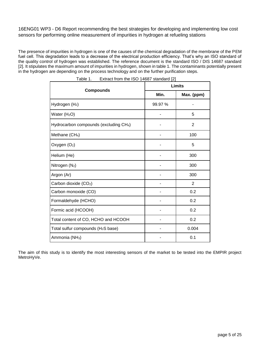The presence of impurities in hydrogen is one of the causes of the chemical degradation of the membrane of the PEM fuel cell. This degradation leads to a decrease of the electrical production efficiency. That's why an ISO standard of the quality control of hydrogen was established. The reference document is the standard ISO / DIS 14687 standard [\[2\].](https://www.zotero.org/google-docs/?jbhg1B) It stipulates the maximum amount of impurities in hydrogen, shown in table 1. The contaminants potentially present in the hydrogen are depending on the process technology and on the further purification steps.

|                                                    | Limits  |                |  |
|----------------------------------------------------|---------|----------------|--|
| <b>Compounds</b>                                   | Min.    | Max. (ppm)     |  |
| Hydrogen (H <sub>2</sub> )                         | 99.97 % |                |  |
| Water $(H2O)$                                      |         | 5              |  |
| Hydrocarbon compounds (excluding CH <sub>4</sub> ) |         | $\overline{2}$ |  |
| Methane (CH <sub>4</sub> )                         |         | 100            |  |
| Oxygen (O <sub>2</sub> )                           |         | 5              |  |
| Helium (He)                                        |         | 300            |  |
| Nitrogen (N <sub>2</sub> )                         |         | 300            |  |
| Argon (Ar)                                         |         | 300            |  |
| Carbon dioxide (CO <sub>2</sub> )                  |         | 2              |  |
| Carbon monoxide (CO)                               |         | 0.2            |  |
| Formaldehyde (HCHO)                                |         | 0.2            |  |
| Formic acid (HCOOH)                                |         | 0.2            |  |
| Total content of CO, HCHO and HCOOH                |         | 0.2            |  |
| Total sulfur compounds (H <sub>2</sub> S base)     |         | 0.004          |  |
| Ammonia (NH <sub>3</sub> )                         |         | 0.1            |  |

Table 1. Extract from the ISO 14687 standard [\[2\]](https://www.zotero.org/google-docs/?4qjS75)

The aim of this study is to identify the most interesting sensors of the market to be tested into the EMPIR project MetroHyVe.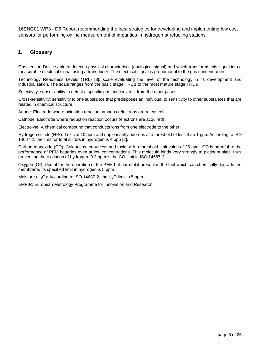# <span id="page-5-0"></span>**1. Glossary**

Gas sensor: Device able to detect a physical characteristic (analogical signal) and which transforms this signal into a measurable electrical signal using a transducer. The electrical signal is proportional to the gas concentration.

Technology Readiness Levels (TRL) [\[3\]:](https://www.zotero.org/google-docs/?DFOYpS) scale evaluating the level of the technology in its development and industrialization. The scale ranges from the basic stage TRL 1 to the most mature stage TRL 9.

Selectivity: sensor ability to detect a specific gas and isolate it from the other gases.

Cross-sensitivity: sensitivity to one substance that predisposes an individual to sensitivity to other substances that are related in chemical structure.

Anode: Electrode where oxidation reaction happens (electrons are released).

Cathode: Electrode where reduction reaction occurs (electrons are acquired).

Electrolyte: A chemical compound that conducts ions from one electrode to the other.

Hydrogen sulfide (H2S): Toxic at 10 ppm and unpleasantly odorous at a threshold of less than 1 ppb. According to ISO 14687-2, the limit for total sulfurs in hydrogen is 4 ppb [\[2\].](https://www.zotero.org/google-docs/?UT0esH)

Carbon monoxide (CO): Colourless, odourless and toxic with a threshold limit value of 25 ppm. CO is harmful to the performance of PEM batteries even at low concentrations. This molecule binds very strongly to platinum sites, thus preventing the oxidation of hydrogen. 0.2 ppm is the CO limit in ISO 14687-2.

Oxygen  $(O_2)$ : Useful for the operation of the PEM but harmful if present in the fuel which can chemically degrade the membrane. Its specified limit in hydrogen is 5 ppm.

Moisture (H<sub>2</sub>O): According to ISO 14687-2, the H<sub>2</sub>O limit is 5 ppm.

EMPIR: European Metrology Programme for Innovation and Research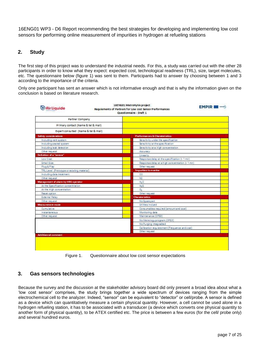# <span id="page-6-0"></span>**2. Study**

The first step of this project was to understand the industrial needs. For this, a study was carried out with the other 28 participants in order to know what they expect: expected cost, technological readiness (TRL), size, target molecules, etc. The questionnaire below (figure 1) was sent to them. Participants had to answer by choosing between 1 and 3 according to the importance of the criteria.

Only one participant has sent an answer which is not informative enough and that is why the information given on the conclusion is based on literature research.

| <b>Air Liquide</b>                         | 16ENG01 MetroHyVe project<br><b>EMPIR</b><br><b>KURAHET</b><br>Requiements of Partners for Low cost Sensor Performances<br>Questionnaire - Draft 1 |  |
|--------------------------------------------|----------------------------------------------------------------------------------------------------------------------------------------------------|--|
| Partner Company                            |                                                                                                                                                    |  |
| Primary contact (Name & tel & mail)        |                                                                                                                                                    |  |
| Expert consulted (Name & tel & mail)       |                                                                                                                                                    |  |
| <b>Safety considerations</b>               | Performances & Charaterisitics                                                                                                                     |  |
| Including vent system                      | Sensitivity under the specification                                                                                                                |  |
| including sealed system                    | Sensitivity at the specification                                                                                                                   |  |
| Including leak detection                   | Sensitivity at a High concentration                                                                                                                |  |
| Other request                              | <b>Accuracy</b>                                                                                                                                    |  |
| Definition of a "sensor"                   | Linearity                                                                                                                                          |  |
| Low Cost                                   | Response delay at the specification (< 1 mn)                                                                                                       |  |
| Small Size                                 | Response delay at a high concentration (< 1 mn)                                                                                                    |  |
| Plug & Play                                | Other request                                                                                                                                      |  |
| TRL Level (Prototype or existing material) | Impurities to monitor                                                                                                                              |  |
| Including data treatment                   | CO                                                                                                                                                 |  |
| Other request                              | N2                                                                                                                                                 |  |
| Management of alarm by HRS operator        | $H_2$ O                                                                                                                                            |  |
| At the Specification concentration         | $H_2S$                                                                                                                                             |  |
| At the High concentration                  | o.,                                                                                                                                                |  |
| Reset agtion                               | Other request                                                                                                                                      |  |
| External Relay                             | <b>Charaterisitics</b>                                                                                                                             |  |
| Other request                              | No Spare part                                                                                                                                      |  |
| Measurement mode                           | Utilities inclued                                                                                                                                  |  |
| Cumulative                                 | Consumables required (amount and cost)                                                                                                             |  |
| instantaneous                              | Monitoring data                                                                                                                                    |  |
| Other request                              | Maintenance (OPEX)                                                                                                                                 |  |
|                                            | No Metrology program (OPEX)                                                                                                                        |  |
|                                            | No Purging integradted                                                                                                                             |  |
|                                            | Calibration requierement (Frequence and cost)                                                                                                      |  |
|                                            | Other request                                                                                                                                      |  |
|                                            |                                                                                                                                                    |  |

Figure 1. Questionnaire about low cost sensor expectations

# <span id="page-6-1"></span>**3. Gas sensors technologies**

Because the survey and the discussion at the stakeholder advisory board did only present a broad idea about what a 'low cost sensor' comprises, the study brings together a wide spectrum of devices ranging from the simple electrochemical cell to the analyzer. Indeed, "sensor" can be equivalent to "detector" or cell/probe. A sensor is defined as a device which can quantitatively measure a certain physical quantity. However, a cell cannot be used alone in a hydrogen refueling station, it has to be associated with a transducer (a device which converts one physical quantity to another form of physical quantity), to be ATEX certified etc. The price is between a few euros (for the cell/ probe only) and several hundred euros.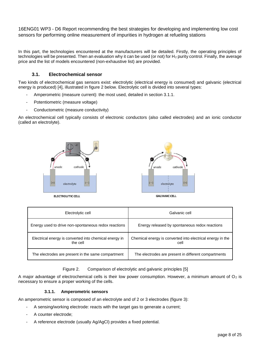<span id="page-7-0"></span>In this part, the technologies encountered at the manufacturers will be detailed. Firstly, the operating principles of technologies will be presented. Then an evaluation why it can be used (or not) for  $H_2$  purity control. Finally, the average price and the list of models encountered (non-exhaustive list) are provided.

# **3.1. Electrochemical sensor**

Two kinds of electrochemical gas sensors exist: electrolytic (electrical energy is consumed) and galvanic (electrical energy is produced) [\[4\],](https://www.zotero.org/google-docs/?t2w2Z0) illustrated in figure 2 below. Electrolytic cell is divided into several types:

- Amperometric (measure current): the most used, detailed in section 3.1.1.
- Potentiometric (measure voltage)
- Conductometric (measure conductivity)

An electrochemical cell typically consists of electronic conductors (also called electrodes) and an ionic conductor (called an electrolyte).



| Electrolytic cell                                                  | Galvanic cell                                                      |
|--------------------------------------------------------------------|--------------------------------------------------------------------|
| Energy used to drive non-spontaneous redox reactions               | Energy released by spontaneous redox reactions                     |
| Electrical energy is converted into chemical energy in<br>the cell | Chemical energy is converted into electrical energy in the<br>cell |
| The electrodes are present in the same compartment                 | The electrodes are present in different compartments               |

Figure 2. Comparison of electrolytic and galvanic principles [\[5\]](https://www.zotero.org/google-docs/?MNfjiw)

<span id="page-7-1"></span>A major advantage of electrochemical cells is their low power consumption. However, a minimum amount of  $O_2$  is necessary to ensure a proper working of the cells.

#### **3.1.1. Amperometric sensors**

An amperometric sensor is composed of an electrolyte and of 2 or 3 electrodes (figure 3):

- A sensing/working electrode: reacts with the target gas to generate a current;
- A counter electrode:
- A reference electrode (usually Ag/AgCl) provides a fixed potential.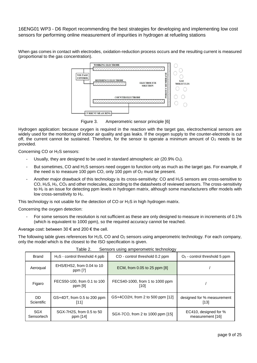When gas comes in contact with electrodes, oxidation-reduction process occurs and the resulting current is measured (proportional to the gas concentration).



Figure 3. Amperometric sensor principle [\[6\]](https://www.zotero.org/google-docs/?G6t2Fd)

Hydrogen application: because oxygen is required in the reaction with the target gas, electrochemical sensors are widely used for the monitoring of indoor air quality and gas leaks. If the oxygen supply to the counter-electrode is cut off, the current cannot be sustained. Therefore, for the sensor to operate a minimum amount of  $O<sub>2</sub>$  needs to be provided.

Concerning CO or H2S sensors:

- Usually, they are designed to be used in standard atmospheric air  $(20.9\% \text{ O}_2)$ .
- But sometimes, CO and H<sub>2</sub>S sensors need oxygen to function only as much as the target gas. For example, if the need is to measure 100 ppm CO, only 100 ppm of  $O<sub>2</sub>$  must be present.
- Another major drawback of this technology is its cross-sensitivity: CO and H<sub>2</sub>S sensors are cross-sensitive to CO, H2S, H2, CO<sup>2</sup> and other molecules, according to the datasheets of reviewed sensors. The cross-sensitivity to H<sub>2</sub> is an issue for detecting ppm levels in hydrogen matrix, although some manufacturers offer models with low cross-sensitivity to H<sub>2</sub>.

This technology is not usable for the detection of CO or H2S in high hydrogen matrix.

Concerning the oxygen detection:

For some sensors the resolution is not sufficient as these are only designed to measure in increments of 0.1% (which is equivalent to 1000 ppm), so the required accuracy cannot be reached.

Average cost: between 30  $\epsilon$  and 200  $\epsilon$  the cell.

The following table gives references for  $H_2S$ , CO and  $O_2$  sensors using amperometric technology. For each company, only the model which is the closest to the ISO specification is given.

|           | CO - control threshold 0.2 ppm                                                                                                                         | $O2$ - control threshold 5 ppm            |
|-----------|--------------------------------------------------------------------------------------------------------------------------------------------------------|-------------------------------------------|
| ppm $[7]$ | ECM, from 0.05 to 25 ppm [8]                                                                                                                           |                                           |
| ppm [9]   | FECS40-1000, from 1 to 1000 ppm<br>[10]                                                                                                                |                                           |
| [11]      | GS+4CO2H, from 2 to 500 ppm [12]                                                                                                                       | designed for % measurement<br>[13]        |
| ppm [14]  | SGX-7CO, from 2 to 1000 ppm [15]                                                                                                                       | EC410, designed for %<br>measurement [16] |
|           | $H2S$ - control threshold 4 ppb<br>EHS/EHS2, from 0.04 to 10<br>FECS50-100, from 0.1 to 100<br>GS+4DT, from 0.5 to 200 ppm<br>SGX-7H2S, from 0.5 to 50 |                                           |

Table 2. Sensors using amperometric technology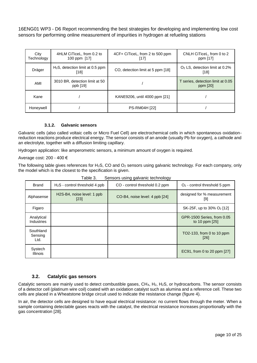| City<br>Technology | 4HLM CiTiceL, from 0.2 to<br>100 ppm [17]  | 4CF+ CiTiceL, from 2 to 500 ppm<br>[17] | CNLH CiTiceL, from 0 to 2<br>ppm [17]         |
|--------------------|--------------------------------------------|-----------------------------------------|-----------------------------------------------|
| Dräger             | $H2S$ , detection limit at 0.5 ppm<br>[18] | CO, detection limit at 5 ppm [18]       | $O2$ LS, detection limit at 0.2%<br>[18]      |
| AMI                | 3010 BR, detection limit at 50<br>ppb [19] |                                         | T series, detection limit at 0.05<br>ppm [20] |
| Kane               |                                            | KANE9206, until 4000 ppm [21]           |                                               |
| Honeywell          |                                            | <b>PS-RM04H [22]</b>                    |                                               |

#### **3.1.2. Galvanic sensors**

<span id="page-9-0"></span>Galvanic cells (also called voltaic cells or Micro Fuel Cell) are electrochemical cells in which spontaneous oxidationreduction reactions produce electrical energy. The sensor consists of an anode (usually Pb for oxygen), a cathode and an electrolyte, together with a diffusion limiting capillary.

Hydrogen application: like amperometric sensors, a minimum amount of oxygen is required.

Average cost: 200 - 400 €

The following table gives references for H<sub>2</sub>S, CO and O<sub>2</sub> sensors using galvanic technology. For each company, only the model which is the closest to the specification is given.

| יש שושמו<br>concord doing garvanic toomtology |                                                                |                                |                                              |
|-----------------------------------------------|----------------------------------------------------------------|--------------------------------|----------------------------------------------|
| <b>Brand</b>                                  | $H2S$ - control threshold 4 ppb                                | CO - control threshold 0.2 ppm | $O2$ - control threshold 5 ppm               |
| Alphasense                                    | H <sub>2</sub> S-B <sub>4</sub> , noise level: 1 ppb<br>$[23]$ | CO-B4, noise level: 4 ppb [24] | designed for % measurement<br>[9]            |
| Figaro                                        |                                                                |                                | SK-25F, up to 30% O <sub>2</sub> [12]        |
| Analytical<br><b>Industries</b>               |                                                                |                                | GPR-1500 Series, from 0.05<br>to 10 ppm [25] |
| Southland<br>Sensing<br>Ltd.                  |                                                                |                                | TO2-133, from 0 to 10 ppm<br>[26]            |
| Systech<br><b>Illinois</b>                    |                                                                |                                | EC91, from 0 to 20 ppm [27]                  |

Table 3. Sensors using galvanic technology

### **3.2. Catalytic gas sensors**

<span id="page-9-1"></span>Catalytic sensors are mainly used to detect combustible gases,  $CH_4$ ,  $H_2$ ,  $H_2S$ , or hydrocarbons. The sensor consists of a detector cell (platinum wire coil) coated with an oxidation catalyst such as alumina and a reference cell. These two cells are placed in a Wheatstone bridge circuit used to indicate the resistance change (figure 4).

In air, the detector cells are designed to have equal electrical resistance: no current flows through the meter. When a sample containing detectable gases reacts with the catalyst, the electrical resistance increases proportionally with the gas concentration [\[28\].](https://www.zotero.org/google-docs/?U9zFrU)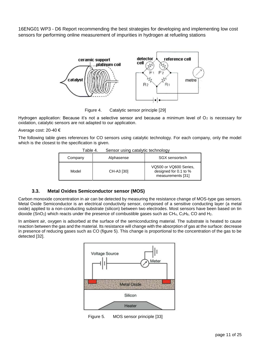

Figure 4. Catalytic sensor principle [\[29\]](https://www.zotero.org/google-docs/?BTuQvt)

Hydrogen application: Because it's not a selective sensor and because a minimum level of  $O<sub>2</sub>$  is necessary for oxidation, catalytic sensors are not adapted to our application.

Average cost: 20-40 €

The following table gives references for CO sensors using catalytic technology. For each company, only the model which is the closest to the specification is given.

| $50.1001$ ability batallytic toolorgy |            |                                                                      |  |
|---------------------------------------|------------|----------------------------------------------------------------------|--|
| Company                               | Alphasense | SGX sensortech                                                       |  |
| Model                                 | CH-A3 [30] | VQ500 or VQ600 Series.<br>designed for 0.1 to %<br>measurements [31] |  |

| Table 4. | Sensor using catalytic technology |
|----------|-----------------------------------|
|----------|-----------------------------------|

### **3.3. Metal Oxides Semiconductor sensor (MOS)**

<span id="page-10-0"></span>Carbon monoxide concentration in air can be detected by measuring the resistance change of MOS-type gas sensors. Metal Oxide Semiconductor is an electrical conductivity sensor, composed of a sensitive conducting layer (a metal oxide) applied to a non-conducting substrate (silicon) between two electrodes. Most sensors have been based on tin dioxide (SnO<sub>2</sub>) which reacts under the presence of combustible gases such as CH<sub>4</sub>, C<sub>3</sub>H<sub>8</sub>, CO and H<sub>2</sub>.

In ambient air, oxygen is adsorbed at the surface of the semiconducting material. The substrate is heated to cause reaction between the gas and the material. Its resistance will change with the absorption of gas at the surface: decrease in presence of reducing gases such as CO (figure 5). This change is proportional to the concentration of the gas to be detected [\[32\].](https://www.zotero.org/google-docs/?WhLLfS)



Figure 5. MOS sensor principle [\[33\]](https://www.zotero.org/google-docs/?C8WCLB)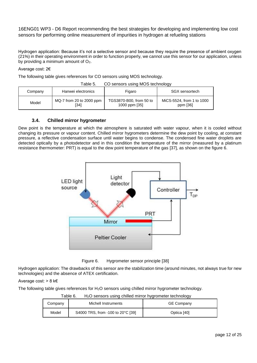Hydrogen application: Because it's not a selective sensor and because they require the presence of ambient oxygen (21%) in their operating environment in order to function properly, we cannot use this sensor for our application, unless by providing a minimum amount of O2.

#### Average cost: 2€

The following table gives references for CO sensors using MOS technology.

| Table 5. | CO sensors using MOS technology |  |  |
|----------|---------------------------------|--|--|
|----------|---------------------------------|--|--|

| Company | Hanwei electronics               | Figaro                                   | <b>SGX</b> sensortech                 |  |
|---------|----------------------------------|------------------------------------------|---------------------------------------|--|
| Model   | MQ-7 from 20 to 2000 ppm<br>[34] | TGS3870-B00, from 50 to<br>1000 ppm [35] | MiCS-5524, from 1 to 1000<br>ppm [36] |  |

#### **3.4. Chilled mirror hygrometer**

<span id="page-11-0"></span>Dew point is the temperature at which the atmosphere is saturated with water vapour, when it is cooled without changing its pressure or vapour content. Chilled mirror hygrometers determine the dew point by cooling, at constant pressure, a reflective condensation surface until water begins to condense. The condensed fine water droplets are detected optically by a photodetector and in this condition the temperature of the mirror (measured by a platinum resistance thermometer: PRT) is equal to the dew point temperature of the gas [\[37\],](https://www.zotero.org/google-docs/?OeHDFM) as shown on the figure 6.



Figure 6. Hygrometer sensor principle [\[38\]](https://www.zotero.org/google-docs/?9gzdpm)

Hydrogen application: The drawbacks of this sensor are the stabilization time (around minutes, not always true for new technologies) and the absence of ATEX certification.

#### Average cost: > 8 k€

The following table gives references for H2O sensors using chilled mirror hygrometer technology.

| Company | ı uviy v.<br><u>riza scrisors daing crimed minior riggiometer technology</u><br>Michell Instruments | <b>GE Company</b> |
|---------|-----------------------------------------------------------------------------------------------------|-------------------|
| Model   | S4000 TRS, from -100 to 20°C [39]                                                                   | Optica [40]       |

Table 6. H2O sensors using chilled mirror hygrometer technology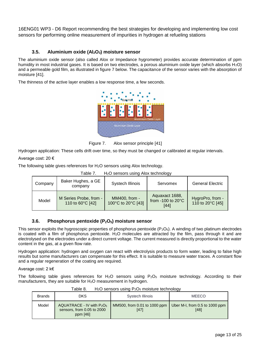# **3.5. Aluminium oxide (Al2O3) moisture sensor**

<span id="page-12-0"></span>The aluminium oxide sensor (also called Alox or Impedance hygrometer) provides accurate determination of ppm humidity in most industrial gases. It is based on two electrodes, a porous aluminium oxide layer (which absorbs H<sub>2</sub>O) and a permeable gold film, as illustrated in figure 7 below. The capacitance of the sensor varies with the absorption of moisture [\[41\].](https://www.zotero.org/google-docs/?0A4VBC)

The thinness of the active layer enables a low response time, a few seconds.



Figure 7. Alox sensor principle [\[41\]](https://www.zotero.org/google-docs/?UcsUJ9)

Hydrogen application: These cells drift over time, so they must be changed or calibrated at regular intervals.

Average cost: 20 €

The following table gives references for H<sub>2</sub>O sensors using Alox technology.

Table 7. H<sub>2</sub>O sensors using Alox technology

|         |                                            |                                     | .                                                     |                                      |
|---------|--------------------------------------------|-------------------------------------|-------------------------------------------------------|--------------------------------------|
| Company | Baker Hughes, a GE<br>company              | Systech Illinois                    | Servomex                                              | <b>General Electric</b>              |
| Model   | M Series Probe, from -<br>110 to 60°C [42] | MM400, from -<br>100°C to 20°C [43] | Aquaxact 1688,<br>from -100 to $20^{\circ}$ C<br>[44] | HygroPro, from -<br>110 to 20°C [45] |

#### **3.6. Phosphorus pentoxide (P2O5) moisture sensor**

<span id="page-12-1"></span>This sensor exploits the hygroscopic properties of phosphorus pentoxide  $(P_2O_5)$ . A winding of two platinum electrodes is coated with a film of phosphorus pentoxide. H2O molecules are attracted by the film, pass through it and are electrolysed on the electrodes under a direct current voltage. The current measured is directly proportional to the water content in the gas, at a given flow rate.

Hydrogen application: hydrogen and oxygen can react with electrolysis products to form water, leading to false high results but some manufacturers can compensate for this effect. It is suitable to measure water traces. A constant flow and a regular regeneration of the coating are required.

Average cost: 2 k€

The following table gives references for  $H_2O$  sensors using  $P_2O_5$  moisture technology. According to their manufacturers, they are suitable for H<sub>2</sub>O measurement in hydrogen.

| .             |                                                                          |                                      |                                        |  |
|---------------|--------------------------------------------------------------------------|--------------------------------------|----------------------------------------|--|
| <b>Brands</b> | <b>DKS</b>                                                               | <b>Systech Illinois</b>              | <b>MEECO</b>                           |  |
| Model         | $AQUATRACE - IV$ with $P2O5$<br>sensors, from 0.05 to 2000<br>ppm $[46]$ | MM500, from 0.01 to 1000 ppm<br>[47] | Uber M-I, from 0.5 to 1000 ppm<br>[48] |  |

Table 8.  $H_2O$  sensors using  $P_2O_5$  moisture technology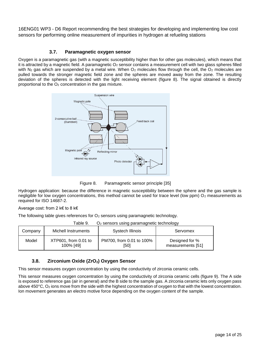### **3.7. Paramagnetic oxygen sensor**

<span id="page-13-0"></span>Oxygen is a paramagnetic gas (with a magnetic susceptibility higher than for other gas molecules), which means that it is attracted by a magnetic field. A paramagnetic O<sub>2</sub> sensor contains a measurement cell with two glass spheres filled with N<sub>2</sub> gas which are suspended by a metal wire. When O<sub>2</sub> molecules flow through the cell, the O<sub>2</sub> molecules are pulled towards the stronger magnetic field zone and the spheres are moved away from the zone. The resulting deviation of the spheres is detected with the light receiving element (figure 8). The signal obtained is directly proportional to the  $O<sub>2</sub>$  concentration in the gas mixture.



Figure 8. Paramagnetic sensor principle [35]

Hydrogen application: because the difference in magnetic susceptibility between the sphere and the gas sample is negligible for low oxygen concentrations, this method cannot be used for trace level (low ppm)  $O_2$  measurements as required for ISO 14687-2.

#### Average cost: from 2 k€ to 8 k€

The following table gives references for  $O<sub>2</sub>$  sensors using paramagnetic technology.

Table 9.  $\Omega_2$  sensors using paramagnetic technology

| Company | Michell Instruments  | Systech Illinois         | Servomex          |
|---------|----------------------|--------------------------|-------------------|
| Model   | XTP601, from 0.01 to | PM700, from 0.01 to 100% | Designed for %    |
|         | 100% [49]            | [50]                     | measurements [51] |

#### **3.8. Zirconium Oxide (ZrO2) Oxygen Sensor**

<span id="page-13-1"></span>This sensor measures oxygen concentration by using the conductivity of zirconia ceramic cells.

This sensor measures oxygen concentration by using the conductivity of zirconia ceramic cells (figure 9). The A side is exposed to reference gas (air in general) and the B side to the sample gas. A zirconia ceramic lets only oxygen pass above 450°C, O<sup>2</sup> ions move from the side with the highest concentration of oxygen to that with the lowest concentration. Ion movement generates an electro motive force depending on the oxygen content of the sample.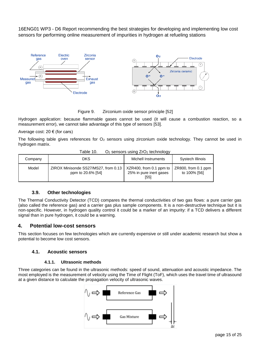

Figure 9. Zirconium oxide sensor principle [\[52\]](https://www.zotero.org/google-docs/?Vpj6Ck)

Hydrogen application: because flammable gases cannot be used (it will cause a combustion reaction, so a measurement error), we cannot take advantage of this type of sensors [\[53\].](https://www.zotero.org/google-docs/?RgN9Sx)

Average cost:  $20 \in (for cars)$ 

The following table gives references for  $O_2$  sensors using zirconium oxide technology. They cannot be used in hydrogen matrix.

| Table 10. | $O2$ sensors using $ZrO2$ technology |  |
|-----------|--------------------------------------|--|
|           |                                      |  |

| Company | DKS                                                       | Michell Instruments                                        | Systech Illinois                       |
|---------|-----------------------------------------------------------|------------------------------------------------------------|----------------------------------------|
| Model   | ZIROX Minisonde SS27/MS27, from 0.13<br>ppm to 20.6% [54] | XZR400, from 0.1 ppm to<br>25% in pure inert gases<br>[55] | $ZR800$ , from 0.1 ppm<br>to 100% [56] |

#### **3.9. Other technologies**

<span id="page-14-0"></span>The Thermal Conductivity Detector (TCD) compares the thermal conductivities of two gas flows: a pure carrier gas (also called the reference gas) and a carrier gas plus sample components. It is a non-destructive technique but it is non-specific. However, in hydrogen quality control it could be a marker of an impurity: if a TCD delivers a different signal than in pure hydrogen, it could be a warning.

# <span id="page-14-1"></span>**4. Potential low-cost sensors**

<span id="page-14-2"></span>This section focuses on few technologies which are currently expensive or still under academic research but show a potential to become low cost sensors.

#### **4.1. Acoustic sensors**

#### **4.1.1. Ultrasonic methods**

<span id="page-14-3"></span>Three categories can be found in the ultrasonic methods: speed of sound, attenuation and acoustic impedance. The most employed is the measurement of velocity using the Time of Flight (ToF), which uses the travel time of ultrasound at a given distance to calculate the propagation velocity of ultrasonic waves.

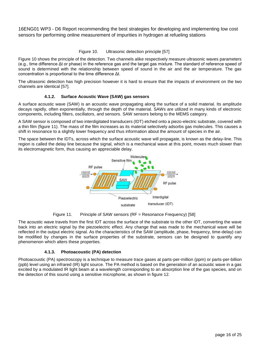Figure 10. Ultrasonic detection principle [\[57\]](https://www.zotero.org/google-docs/?vFvPqu)

Figure 10 shows the principle of the detection. Two channels alike respectively measure ultrasonic waves parameters (e.g., time difference Δt or phase) in the reference gas and the target gas mixture. The standard of reference speed of sound is determined with the relationship between speed of sound in the air and the air temperature. The gas concentration is proportional to the time difference Δt.

<span id="page-15-0"></span>The ultrasonic detection has high precision however it is hard to ensure that the impacts of environment on the two channels are identical [\[57\].](https://www.zotero.org/google-docs/?x24WFU)

#### **4.1.2. Surface Acoustic Wave (SAW) gas sensors**

A surface acoustic wave (SAW) is an acoustic wave propagating along the surface of a solid material. Its amplitude decays rapidly, often exponentially, through the depth of the material. SAWs are utilized in many kinds of electronic components, including filters, oscillators, and sensors. SAW sensors belong to the MEMS category.

A SAW sensor is composed of two interdigitated transducers (IDT) etched onto a piezo-electric substrate, covered with a thin film (figure 11). The mass of the film increases as its material selectively adsorbs gas molecules. This causes a shift in resonance to a slightly lower frequency and thus information about the amount of species in the air.

The space between the IDTs, across which the surface acoustic wave will propagate, is known as the delay-line. This region is called the delay line because the signal, which is a mechanical wave at this point, moves much slower than its electromagnetic form, thus causing an appreciable delay.



Figure 11. Principle of SAW sensors (RF = Resonance Frequency) [\[58\]](https://www.zotero.org/google-docs/?sVWtMi)

The acoustic wave travels from the first IDT across the surface of the substrate to the other IDT, converting the wave back into an electric signal by the piezoelectric effect. Any change that was made to the mechanical wave will be reflected in the output electric signal. As the characteristics of the SAW (amplitude, phase, frequency, time-delay) can be modified by changes in the surface properties of the substrate, sensors can be designed to quantify any phenomenon which alters these properties.

#### **4.1.3. Photoacoustic (PA) detection**

<span id="page-15-1"></span>Photoacoustic (PA) spectroscopy is a technique to measure trace gases at parts-per-million (ppm) or parts-per-billion (ppb) level using an infrared (IR) light source. The PA method is based on the generation of an acoustic wave in a gas excited by a modulated IR light beam at a wavelength corresponding to an absorption line of the gas species, and on the detection of this sound using a sensitive microphone, as shown in figure 12.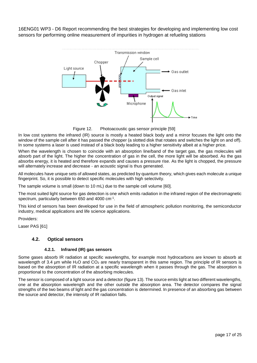

Figure 12. Photoacoustic gas sensor principle [\[59\]](https://www.zotero.org/google-docs/?2tlKMt)

In low cost systems the infrared (IR) source is mostly a heated black body and a mirror focuses the light onto the window of the sample cell after it has passed the chopper (a slotted disk that rotates and switches the light on and off). In some systems a laser is used instead of a black body leading to a higher sensitivity albeit at a higher price.

When the wavelength is chosen to coincide with an absorption line/band of the target gas, the gas molecules will absorb part of the light. The higher the concentration of gas in the cell, the more light will be absorbed. As the gas absorbs energy, it is heated and therefore expands and causes a pressure rise. As the light is chopped, the pressure will alternately increase and decrease - an acoustic signal is thus generated.

All molecules have unique sets of allowed states, as predicted by quantum theory, which gives each molecule a unique fingerprint. So, it is possible to detect specific molecules with high selectivity.

The sample volume is small (down to 10 mL) due to the sample cell volume [\[60\].](https://www.zotero.org/google-docs/?X2P4TM)

The most suited light source for gas detection is one which emits radiation in the infrared region of the electromagnetic spectrum, particularly between 650 and 4000 cm<sup>-1</sup>.

This kind of sensors has been developed for use in the field of atmospheric pollution monitoring, the semiconductor industry, medical applications and life science applications.

Providers:

<span id="page-16-0"></span>Laser PAS [\[61\]](https://www.zotero.org/google-docs/?yxfn2f)

#### **4.2. Optical sensors**

#### **4.2.1. Infrared (IR) gas sensors**

<span id="page-16-1"></span>Some gases absorb IR radiation at specific wavelengths, for example most hydrocarbons are known to absorb at wavelength of 3.4 µm while H<sub>2</sub>O and CO<sub>2</sub> are nearly transparent in this same region. The principle of IR sensors is based on the absorption of IR radiation at a specific wavelength when it passes through the gas. The absorption is proportional to the concentration of the absorbing molecules.

The sensor is composed of a light source and a detector (figure 13). The source emits light at two different wavelengths, one at the absorption wavelength and the other outside the absorption area. The detector compares the signal strengths of the two beams of light and the gas concentration is determined. In presence of an absorbing gas between the source and detector, the intensity of IR radiation falls.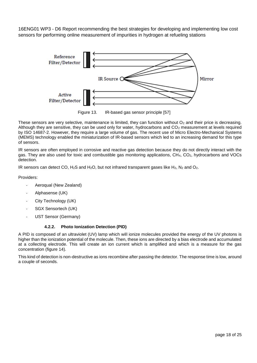

Figure 13. IR-based gas sensor principle [\[57\]](https://www.zotero.org/google-docs/?GxmyNv)

These sensors are very selective, maintenance is limited, they can function without  $O_2$  and their price is decreasing. Although they are sensitive, they can be used only for water, hydrocarbons and CO<sub>2</sub> measurement at levels required by ISO 14687-2. However, they require a large volume of gas. The recent use of Micro Electro-Mechanical Systems (MEMS) technology enabled the miniaturization of IR-based sensors which led to an increasing demand for this type of sensors.

IR sensors are often employed in corrosive and reactive gas detection because they do not directly interact with the gas. They are also used for toxic and combustible gas monitoring applications, CH4, CO2, hydrocarbons and VOCs detection.

IR sensors can detect CO,  $H_2S$  and  $H_2O$ , but not infrared transparent gases like  $H_2$ ,  $N_2$  and  $O_2$ .

Providers:

- Aeroqual (New Zealand)
- Alphasense (UK)
- City Technology (UK)
- SGX Sensortech (UK)
- <span id="page-17-0"></span>UST Sensor (Germany)

#### **4.2.2. Photo Ionization Detection (PID)**

A PID is composed of an ultraviolet (UV) lamp which will ionize molecules provided the energy of the UV photons is higher than the ionization potential of the molecule. Then, these ions are directed by a bias electrode and accumulated at a collecting electrode. This will create an ion current which is amplified and which is a measure for the gas concentration (figure 14).

This kind of detection is non-destructive as ions recombine after passing the detector. The response time is low, around a couple of seconds.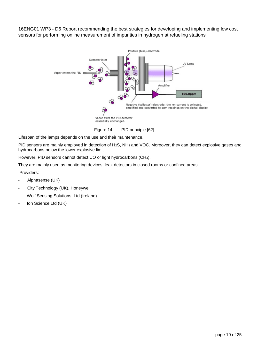

Figure 14. PID principle [\[62\]](https://www.zotero.org/google-docs/?3mifws)

Lifespan of the lamps depends on the use and their maintenance.

PID sensors are mainly employed in detection of H<sub>2</sub>S, NH<sub>3</sub> and VOC. Moreover, they can detect explosive gases and hydrocarbons below the lower explosive limit.

However, PID sensors cannot detect CO or light hydrocarbons (CH4).

They are mainly used as monitoring devices, leak detectors in closed rooms or confined areas.

Providers:

- Alphasense (UK)
- City Technology (UK), Honeywell
- Wolf Sensing Solutions, Ltd (Ireland)
- Ion Science Ltd (UK)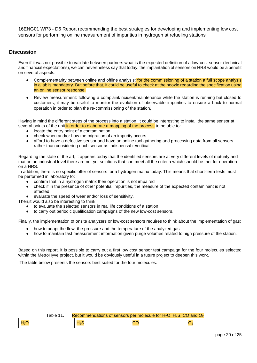### **Discussion**

Even if it was not possible to validate between partners what is the expected definition of a low-cost sensor (technical and financial expectations), we can nevertheless say that today, the implantation of sensors on HRS would be a benefit on several aspects:

- Complementarity between online and offline analysis: for the commissioning of a station a full scope analysis in a lab is mandatory. But before that, it could be useful to check at the noozle regarding the specification using an online sensor response.
- Review measurement: following a complaint/incident/maintenance while the station is running but closed to customers; it may be useful to monitor the evolution of observable impurities to ensure a back to normal operation in order to plan the re-commissioning of the station.

Having in mind the different steps of the process into a station, it could be interesting to install the same sensor at several points of the unit in order to elaborate a mapping of the process to be able to:

- locate the entry point of a contamination
- check when and/or how the migration of an impurity occurs
- afford to have a defective sensor and have an online tool gathering and processing data from all sensors rather than considering each sensor as indispensable/critical.

Regarding the state of the art, it appears today that the identified sensors are at very different levels of maturity and that on an industrial level there are not yet solutions that can meet all the criteria which should be met for operation on a HRS.

In addition, there is no specific offer of sensors for a hydrogen matrix today. This means that short-term tests must be performed in laboratory to:

- confirm that in a hydrogen matrix their operation is not impaired
- check if in the presence of other potential impurities, the measure of the expected contaminant is not affected
- evaluate the speed of wear and/or loss of sensitivity.
- Then,it would also be interesting to think:
	- to evaluate the selected sensors in real life conditions of a station
	- to carry out periodic qualification campaigns of the new low-cost sensors.

Finally, the implementation of onsite analyzers or low-cost sensors requires to think about the implementation of gas:

- how to adapt the flow, the pressure and the temperature of the analyzed gas
- how to maintain fast measurement information given purge volumes related to high pressure of the station.

Based on this report, it is possible to carry out a first low cost sensor test campaign for the four molecules selected within the MetroHyve project, but it would be obviously useful in a future project to deepen this work.

The table below presents the sensors best suited for the four molecules.

|                  | able 11 <sup>-</sup> | Recommendations of sensors per molecule for $H_2O$ , $H_2S$ , CO and $O_2$ |           |  |
|------------------|----------------------|----------------------------------------------------------------------------|-----------|--|
| H <sub>2</sub> C |                      | $H_2S$                                                                     | <u>UU</u> |  |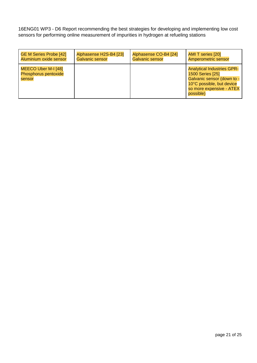| <b>GE M Series Probe [42]</b>                         | Alphasense H2S-B4 [23] | Alphasense CO-B4 [24]  | <b>AMI T series [20]</b>                                                                                                                                  |
|-------------------------------------------------------|------------------------|------------------------|-----------------------------------------------------------------------------------------------------------------------------------------------------------|
| Aluminium oxide sensor                                | Galvanic sensor        | <b>Galvanic sensor</b> | Amperometric sensor                                                                                                                                       |
| MEECO Uber M-I [48]<br>Phosphorus pentoxide<br>sensor |                        |                        | <b>Analytical Industries GPR-</b><br>1500 Series [25]<br>Galvanic sensor (down to -<br>10°C possible, but device<br>so more expensive - ATEX<br>possible) |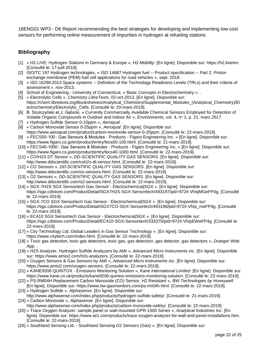# <span id="page-21-0"></span>**Bibliography**

- [1] « [H2.LIVE: Hydrogen Stations in Germany & Europe](https://www.zotero.org/google-docs/?NSpjVk) », *[H2 Mobility](https://www.zotero.org/google-docs/?NSpjVk)*[. \[En ligne\]. Disponible sur: https://h2.live/en.](https://www.zotero.org/google-docs/?NSpjVk)  [\[Consulté le: 17-juill-2019\].](https://www.zotero.org/google-docs/?NSpjVk)
- [2] [ISO/TC 197 Hydrogen technologies, «](https://www.zotero.org/google-docs/?NSpjVk) ISO 14687 Hydrogen fuel -- Product specification -- Part 2: Proton [exchange membrane \(PEM\) fuel cell applications for road vehicles](https://www.zotero.org/google-docs/?NSpjVk) », sept. 2018.
- [3] « ISO 16290:2013 Space systems -- [Definition of the Technology Readiness Levels \(TRLs\) and their criteria of](https://www.zotero.org/google-docs/?NSpjVk)  assessment [». nov-2013.](https://www.zotero.org/google-docs/?NSpjVk)
- [4] School of Engineering University of Connecticut, « [Basic Concepts in Electrochemistry](https://www.zotero.org/google-docs/?NSpjVk) ». .
- [5] « [Electrolytic Cells](https://www.zotero.org/google-docs/?NSpjVk) », *[Chemistry LibreTexts](https://www.zotero.org/google-docs/?NSpjVk)*[, 02-oct-2013. \[En ligne\]. Disponible sur:](https://www.zotero.org/google-docs/?NSpjVk)  [https://chem.libretexts.org/Bookshelves/Analytical\\_Chemistry/Supplemental\\_Modules\\_\(Analytical\\_Chemistry\)/El](https://www.zotero.org/google-docs/?NSpjVk) [ectrochemistry/Electrolytic\\_Cells. \[Consulté le: 20-mars-2019\].](https://www.zotero.org/google-docs/?NSpjVk)
- [6] B. Szulczyński et J. Gębicki, « [Currently Commercially Available Chemical Sensors Employed for Detection of](https://www.zotero.org/google-docs/?NSpjVk)  [Volatile Organic Compounds in Outdoor and Indoor Air](https://www.zotero.org/google-docs/?NSpjVk) », *[Environments](https://www.zotero.org/google-docs/?NSpjVk)*[, vol. 4, n](https://www.zotero.org/google-docs/?NSpjVk)<sup>o</sup> [1, p. 21, mars 2017.](https://www.zotero.org/google-docs/?NSpjVk)
- [7] « [Hydrogen Sulfide Sensor 0-10ppm](https://www.zotero.org/google-docs/?NSpjVk) », *[Aeroqual](https://www.zotero.org/google-docs/?NSpjVk)*[. .](https://www.zotero.org/google-docs/?NSpjVk)
- [8] « [Carbon Monoxide Sensor 0-25ppm](https://www.zotero.org/google-docs/?NSpjVk) », *[Aeroqual](https://www.zotero.org/google-docs/?NSpjVk)*[. \[En ligne\]. Disponible sur:](https://www.zotero.org/google-docs/?NSpjVk)  [https://www.aeroqual.com/product/carbon-monoxide-sensor-0-25ppm. \[Consulté le: 22-mars-2019\].](https://www.zotero.org/google-docs/?NSpjVk)
- [9] « [FECS50-100 : Gas Sensors & Modules -](https://www.zotero.org/google-docs/?NSpjVk) Products Figaro Engineering Inc. » [En ligne]. Disponible sur: [https://www.figaro.co.jp/en/product/entry/fecs50-100.html. \[Consulté le: 21-mars-2019\].](https://www.zotero.org/google-docs/?NSpjVk)
- [10] « FECS40-1000 : Gas Sensors & Modules Products Figaro Engineering Inc. » [En ligne]. Disponible sur: [https://www.figaro.co.jp/en/product/entry/fecs40-1000.html. \[Consulté le: 22-mars-2019\].](https://www.zotero.org/google-docs/?NSpjVk)
- [11] « [CO/H2S DT Sensor](https://www.zotero.org/google-docs/?NSpjVk) », *[DD-SCIENTIFIC QUALITY GAS SENSORS](https://www.zotero.org/google-docs/?NSpjVk)*[. \[En ligne\]. Disponible sur:](https://www.zotero.org/google-docs/?NSpjVk)  [http://www.ddscientific.com/coh2s-dt-sensor.html. \[Consulté le: 22-mars-2019\].](https://www.zotero.org/google-docs/?NSpjVk)
- [12] « [CO Sensors](https://www.zotero.org/google-docs/?NSpjVk) », *[DD-SCIENTIFIC QUALITY GAS SENSORS](https://www.zotero.org/google-docs/?NSpjVk)*[. \[En ligne\]. Disponible sur:](https://www.zotero.org/google-docs/?NSpjVk)  [http://www.ddscientific.com/co-sensors.html. \[Consulté le: 22-mars-2019\].](https://www.zotero.org/google-docs/?NSpjVk)
- [13] « [O2 Sensors](https://www.zotero.org/google-docs/?NSpjVk) », *[DD-SCIENTIFIC QUALITY GAS](https://www.zotero.org/google-docs/?NSpjVk) SENSORS*[. \[En ligne\]. Disponible sur:](https://www.zotero.org/google-docs/?NSpjVk)  [http://www.ddscientific.com/o2-sensors.html. \[Consulté le: 22-mars-2019\].](https://www.zotero.org/google-docs/?NSpjVk)
- [14] « [SGX-7H2S SGX Sensortech Gas Sensor -](https://www.zotero.org/google-docs/?NSpjVk) Electrochemical|SGX ». [En ligne]. Disponible sur: [https://sgx.cdistore.com/ProductDetail/SGX7H2S-SGX-Sensortech/493197/pid=972#.VhIqMGeFP4g. \[Consulté](https://www.zotero.org/google-docs/?NSpjVk)  [le: 22-mars-2019\].](https://www.zotero.org/google-docs/?NSpjVk)
- [15] « [SGX-7CO SGX Sensortech Gas Sensor -](https://www.zotero.org/google-docs/?NSpjVk) Electrochemical|SGX ». [En ligne]. Disponible sur: [https://sgx.cdistore.com/ProductDetail/SGX7CO-SGX-Sensortech/493196/pid=972#.VhIp\\_meFP4g. \[Consulté](https://www.zotero.org/google-docs/?NSpjVk)  [le: 22-mars-2019\].](https://www.zotero.org/google-docs/?NSpjVk)
- [16] « [EC410 SGX Sensortech Gas Sensor -](https://www.zotero.org/google-docs/?NSpjVk) Electrochemical|SGX ». [En ligne]. Disponible sur: [https://sgx.cdistore.com/ProductDetail/EC410-SGX-Sensortech/333370/pid=972#.VhIpEWeFP4g. \[Consulté le:](https://www.zotero.org/google-docs/?NSpjVk)  [22-mars-2019\].](https://www.zotero.org/google-docs/?NSpjVk)
- [17] « [City Technology Ltd, Global Leaders in Gas Sensor Technology](https://www.zotero.org/google-docs/?NSpjVk) ». [En ligne]. Disponible sur: [https://www.citytech.com/index.html. \[Consulté le: 22-mars-2019\].](https://www.zotero.org/google-docs/?NSpjVk)
- [18] « [Toxic gas detection, toxic gas detectors, toxic gas, gas detection, gas detector, gas detectors](https://www.zotero.org/google-docs/?NSpjVk) », *[Draeger Web](https://www.zotero.org/google-docs/?NSpjVk)  [App](https://www.zotero.org/google-docs/?NSpjVk)*[. .](https://www.zotero.org/google-docs/?NSpjVk)
- [19] « [H2S Analyzer, Hydrogen Sulfide Analyzers by AMI](https://www.zotero.org/google-docs/?NSpjVk) », *[Advanced Micro Instruments inc.](https://www.zotero.org/google-docs/?NSpjVk)* [\[En ligne\]. Disponible](https://www.zotero.org/google-docs/?NSpjVk)  [sur: https://www.amio2.com/h2s-analyzers. \[Consulté le: 22-mars-2019\].](https://www.zotero.org/google-docs/?NSpjVk)
- [20] « [Oxygen Sensors & Gas Sensors by AMI](https://www.zotero.org/google-docs/?NSpjVk) », *[Advanced Micro Instruments inc.](https://www.zotero.org/google-docs/?NSpjVk)* [\[En ligne\]. Disponible sur:](https://www.zotero.org/google-docs/?NSpjVk)  [https://www.amio2.com/oxygen-sensors. \[Consulté le: 22-mars-2019\].](https://www.zotero.org/google-docs/?NSpjVk)
- [21] « KANE9206 QUINTOX [Emissions Monitoring Solution](https://www.zotero.org/google-docs/?NSpjVk) », *[Kane International Limited](https://www.zotero.org/google-docs/?NSpjVk)*[. \[En ligne\]. Disponible sur:](https://www.zotero.org/google-docs/?NSpjVk)  [https://www.kane.co.uk/products/kane9206-quintox-emissions-monitoring-solution. \[Consulté le: 22-mars-2019\].](https://www.zotero.org/google-docs/?NSpjVk)
- [22] « [PS-RM04H Replacement Carbon Monoxide \(CO\) Sensor, H2 Resistant](https://www.zotero.org/google-docs/?NSpjVk) », *[BW Technologies by Honeywell](https://www.zotero.org/google-docs/?NSpjVk)*[.](https://www.zotero.org/google-docs/?NSpjVk)  [\[En ligne\]. Disponible sur: https://www.bw-gasmonitors.com/ps-rm04h.html. \[Consulté le: 22-mars-2019\].](https://www.zotero.org/google-docs/?NSpjVk)
- [23] « [Hydrogen Sulfide](https://www.zotero.org/google-docs/?NSpjVk) », *[Alphasense](https://www.zotero.org/google-docs/?NSpjVk)*. [\[En ligne\]. Disponible sur:](https://www.zotero.org/google-docs/?NSpjVk)  [http://www.alphasense.com/index.php/products/hydrogen-sulfide-safety/. \[Consulté le: 21-mars-2019\].](https://www.zotero.org/google-docs/?NSpjVk)
- [24] « [Carbon Monoxide](https://www.zotero.org/google-docs/?NSpjVk) », *[Alphasense](https://www.zotero.org/google-docs/?NSpjVk)*[. \[En ligne\]. Disponible sur:](https://www.zotero.org/google-docs/?NSpjVk)  [http://www.alphasense.com/index.php/products/carbon-monoxide-safety/. \[Consulté le: 22-mars-2019\].](https://www.zotero.org/google-docs/?NSpjVk)
- [25] « [Trace Oxygen Analyzer: sample panel or wall-mounted GPR-1500 Series](https://www.zotero.org/google-docs/?NSpjVk) », *[Analytical Industries Inc](https://www.zotero.org/google-docs/?NSpjVk)*[. \[En](https://www.zotero.org/google-docs/?NSpjVk)  [ligne\]. Disponible sur: https://www.aii1.com/products/trace-oxygen-analyzer-for-wall-and-panel-installations.htm.](https://www.zotero.org/google-docs/?NSpjVk)  [\[Consulté le: 22-mars-2019\].](https://www.zotero.org/google-docs/?NSpjVk)
- [26] « Southland Sensing Ltd. [Southland Sensing O2 Sensors \(Gas\)](https://www.zotero.org/google-docs/?NSpjVk) ». [En ligne]. Disponible sur: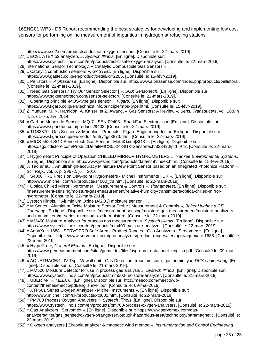[http://www.sso2.com/products/industrial-oxygen-sensors. \[Consulté le: 22-mars-2019\].](https://www.zotero.org/google-docs/?NSpjVk)

- [27] « [EC91 ATEX o2 analyzers](https://www.zotero.org/google-docs/?NSpjVk) », *[Systech Illinois](https://www.zotero.org/google-docs/?NSpjVk)*[. \[En ligne\]. Disponible sur:](https://www.zotero.org/google-docs/?NSpjVk)
- [https://www.systechillinois.com/en/products/ec91-safe-oxygen-analyser. \[Consulté le: 22-mars-2019\].](https://www.zotero.org/google-docs/?NSpjVk)
- [28] International Sensor Technology, « [Catalytic Combustible Gas Sensors](https://www.zotero.org/google-docs/?NSpjVk) ». .
- [29] « [Catalytic combustion sensors](https://www.zotero.org/google-docs/?NSpjVk) », *[GASTEC](https://www.zotero.org/google-docs/?NSpjVk)*[. \[En ligne\]. Disponible sur:](https://www.zotero.org/google-docs/?NSpjVk)
- [https://www.gastec.co.jp/en/product/detail/id=2205. \[Consulté le: 15-févr-2019\].](https://www.zotero.org/google-docs/?NSpjVk)
- [30] « [Pellistors](https://www.zotero.org/google-docs/?NSpjVk) », *[Alphasense](https://www.zotero.org/google-docs/?NSpjVk)*[. \[En ligne\]. Disponible sur: http://www.alphasense.com/index.php/products/pellistors/.](https://www.zotero.org/google-docs/?NSpjVk)  [\[Consulté le: 22-mars-2019\].](https://www.zotero.org/google-docs/?NSpjVk)
- [31] « [Need Gas Sensors? Try Our Sensor Selector |](https://www.zotero.org/google-docs/?NSpjVk) », *[SGX Sensortech](https://www.zotero.org/google-docs/?NSpjVk)*[. \[En ligne\]. Disponible sur:](https://www.zotero.org/google-docs/?NSpjVk)  [https://www.sgxsensortech.com/sensor-selector/. \[Consulté le: 22-mars-2019\].](https://www.zotero.org/google-docs/?NSpjVk)
- [32] « Operating principle ‐[MOS-type gas sensor](https://www.zotero.org/google-docs/?NSpjVk) », *[Figaro](https://www.zotero.org/google-docs/?NSpjVk)*[. \[En ligne\]. Disponible sur:](https://www.zotero.org/google-docs/?NSpjVk)  [https://www.figaro.co.jp/en/technicalinfo/principle/mos-type.html. \[Consulté le: 15-févr-2019\].](https://www.zotero.org/google-docs/?NSpjVk)
- [33] [Z. Yunusa, M. N. Hamidon, A. Kaiser, et Z. Awang, «](https://www.zotero.org/google-docs/?NSpjVk) Gas Sensors: A Review », *[Sens. Transducers](https://www.zotero.org/google-docs/?NSpjVk)*[, vol. 168, n](https://www.zotero.org/google-docs/?NSpjVk)[o](https://www.zotero.org/google-docs/?NSpjVk) 4, p. 61‑[75, avr. 2014.](https://www.zotero.org/google-docs/?NSpjVk)
- [34] « Carbon Monoxide Sensor MQ-7 SEN-09403 SparkFun Electronics [». \[En ligne\]. Disponible sur:](https://www.zotero.org/google-docs/?NSpjVk)  [https://www.sparkfun.com/products/9403. \[Consulté le: 22-mars-2019\].](https://www.zotero.org/google-docs/?NSpjVk)
- [35] « [TGS3870 : Gas Sensors & Modules -](https://www.zotero.org/google-docs/?NSpjVk) Products Figaro Engineering Inc. » [En ligne]. Disponible sur: [https://www.figaro.co.jp/en/product/entry/tgs3870.html. \[Consulté le: 22-mars-2019\].](https://www.zotero.org/google-docs/?NSpjVk)
- [36] « [MICS-5524 SGX Sensortech Gas Sensor -](https://www.zotero.org/google-docs/?NSpjVk) MetalOxide|SGX ». [En ligne]. Disponible sur: [https://sgx.cdistore.com/ProductDetail/MICS5524-SGX-Sensortech/333420/pid=972. \[Consulté le: 22-mars-](https://www.zotero.org/google-docs/?NSpjVk)[2019\].](https://www.zotero.org/google-docs/?NSpjVk)
- [37] « [Hygrometer: Principle of Operation CHILLED MIRROR HYGROMETERS](https://www.zotero.org/google-docs/?NSpjVk) », *[Yankee Environmental Systems](https://www.zotero.org/google-docs/?NSpjVk)*[.](https://www.zotero.org/google-docs/?NSpjVk)  [\[En ligne\]. Disponible sur: http://www.yesinc.com/products/data/cmh/index.html. \[Consulté le: 15-févr-2019\].](https://www.zotero.org/google-docs/?NSpjVk)
- [38] [J. Tao](https://www.zotero.org/google-docs/?NSpjVk) *[et al.](https://www.zotero.org/google-docs/?NSpjVk)*, « [An ultrahigh-accuracy Miniature Dew Point Sensor based on an Integrated Photonics Platform](https://www.zotero.org/google-docs/?NSpjVk) », *[Sci. Rep.](https://www.zotero.org/google-docs/?NSpjVk)*[, vol. 6, p. 29672, juill. 2016.](https://www.zotero.org/google-docs/?NSpjVk)
- [39] « [S4000 TRS Precision Dew-point Hygrometers -](https://www.zotero.org/google-docs/?NSpjVk) Michell Instruments | UK ». [En ligne]. Disponible sur: [http://www.michell.com/uk/products/s4000\\_trs.htm. \[Consulté le: 22-mars-2019\].](https://www.zotero.org/google-docs/?NSpjVk)
- [40] « [Optica Chilled Mirror Hygrometer | Measurement & Controls](https://www.zotero.org/google-docs/?NSpjVk) », *[sitenametest](https://www.zotero.org/google-docs/?NSpjVk)*[. \[En ligne\]. Disponible sur:](https://www.zotero.org/google-docs/?NSpjVk)  [/measurement-sensing/moisture-gas-measurement/relative-humidity-transmitters/optica-chilled-mirror](https://www.zotero.org/google-docs/?NSpjVk)[hygrometer. \[Consulté le: 22-mars-2019\].](https://www.zotero.org/google-docs/?NSpjVk)
- [41] Systech Illinois, « [Aluminium Oxide \(Al2O3\) moisture sensor](https://www.zotero.org/google-docs/?NSpjVk) ». .
- [42] « M Series [Aluminum Oxide Moisture Sensor Probe | Measurement & Controls](https://www.zotero.org/google-docs/?NSpjVk) », *[Baker Hughes a GE](https://www.zotero.org/google-docs/?NSpjVk)  [Company](https://www.zotero.org/google-docs/?NSpjVk)*[. \[En ligne\]. Disponible sur: /measurement-sensing/moisture-gas-measurement/moisture-analyzers](https://www.zotero.org/google-docs/?NSpjVk)[and-transmitters/m-series-aluminum-oxide-moisture. \[Consulté le: 22-mars-2019\].](https://www.zotero.org/google-docs/?NSpjVk)
- [43] « [MM400 Moisture Analyzer for process gas measurement](https://www.zotero.org/google-docs/?NSpjVk) », *[Systech Illinois](https://www.zotero.org/google-docs/?NSpjVk)*[. \[En ligne\]. Disponible sur:](https://www.zotero.org/google-docs/?NSpjVk)  [https://www.systechillinois.com/en/products/mm400-moisture-analyzer. \[Consulté le: 22-mars-2019\].](https://www.zotero.org/google-docs/?NSpjVk)
- [44] « AquaXact 1688 SERVOPRO Safe Area Product Ranges [Gas Analyzers | Servomex](https://www.zotero.org/google-docs/?NSpjVk) ». [En ligne]. [Disponible sur: https://www.servomex.com/gas-analyzers/product-ranges/servopro/aquaxact-1688. \[Consulté le:](https://www.zotero.org/google-docs/?NSpjVk)  [22-mars-2019\].](https://www.zotero.org/google-docs/?NSpjVk)
- [45] « [HygroPro](https://www.zotero.org/google-docs/?NSpjVk) », *[General Electric](https://www.zotero.org/google-docs/?NSpjVk)*[. \[En ligne\]. Disponible sur:](https://www.zotero.org/google-docs/?NSpjVk)  [https://www.gemeasurement.com/sites/gemc.dev/files/hygropro\\_datasheet\\_english.pdf. \[Consulté le: 09-mai-](https://www.zotero.org/google-docs/?NSpjVk)[2019\].](https://www.zotero.org/google-docs/?NSpjVk)
- [46] « AQUATRACE® IV Typ W wall unit [Gas Detection, trace moisture, gas humidity](https://www.zotero.org/google-docs/?NSpjVk) », *[DKS engineering](https://www.zotero.org/google-docs/?NSpjVk)*[. \[En](https://www.zotero.org/google-docs/?NSpjVk)  [ligne\]. Disponible sur: s. \[Consulté le: 21-mars-2019\].](https://www.zotero.org/google-docs/?NSpjVk)
- [47] « [MM500 Moisture Detector for use in process gas analysis](https://www.zotero.org/google-docs/?NSpjVk) », *[Systech Illinois](https://www.zotero.org/google-docs/?NSpjVk)*[. \[En ligne\]. Disponible sur:](https://www.zotero.org/google-docs/?NSpjVk)  [https://www.systechillinois.com/en/products/mm500-moisture-analyzer. \[Consulté le: 21-mars-2019\].](https://www.zotero.org/google-docs/?NSpjVk)
- [48] « [UBER M-I](https://www.zotero.org/google-docs/?NSpjVk) », *[MEECO](https://www.zotero.org/google-docs/?NSpjVk)*[. \[En ligne\]. Disponible sur: http://meeco.com/meeco/wp-](https://www.zotero.org/google-docs/?NSpjVk)
- [content/themes/mecco/pdf/english/M-i.pdf. \[Consulté le: 09-mai-2019\].](https://www.zotero.org/google-docs/?NSpjVk)
- [49] « [XTP601 Series Oxygen Analyzer -](https://www.zotero.org/google-docs/?NSpjVk) Michell Instruments ». [En ligne]. Disponible sur: [http://www.michell.com/uk/products/xtp601.htm. \[Consulté le: 22-mars-2019\].](https://www.zotero.org/google-docs/?NSpjVk)
- [50] « [PM700 Process Oxygen Analysers](https://www.zotero.org/google-docs/?NSpjVk) », *[Systech Illinois](https://www.zotero.org/google-docs/?NSpjVk)*[. \[En ligne\]. Disponible sur:](https://www.zotero.org/google-docs/?NSpjVk)
- [https://www.systechillinois.com/en/products/pm700-process-oxygen-analysers. \[Consulté le: 22-mars-2019\].](https://www.zotero.org/google-docs/?NSpjVk) [51] « Gas Analyzers | Servomex [». \[En ligne\]. Disponible sur: https://www.servomex.com/gas-](https://www.zotero.org/google-docs/?NSpjVk)
- analyzers/filter/gas\_sensed/oxygen-o/range/servotough-hazardous-area/technology/paramagnetic. [Consulté le: [22-mars-2019\].](https://www.zotero.org/google-docs/?NSpjVk)
- [52] « [Oxygen analyzers | Zirconia analyzer & magnetic wind method](https://www.zotero.org/google-docs/?NSpjVk) », *[Instrumentation and Control Engineering](https://www.zotero.org/google-docs/?NSpjVk)*[,](https://www.zotero.org/google-docs/?NSpjVk)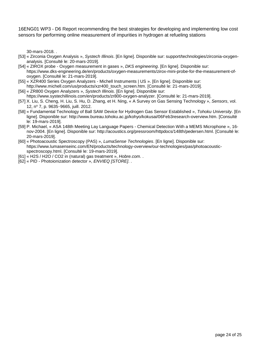[30-mars-2018. .](https://www.zotero.org/google-docs/?NSpjVk)

- [53] « [Zirconia Oxygen Analysis](https://www.zotero.org/google-docs/?NSpjVk) », *[Systech Illinois](https://www.zotero.org/google-docs/?NSpjVk)*[. \[En ligne\]. Disponible sur: support/technologies/zirconia-oxygen](https://www.zotero.org/google-docs/?NSpjVk)[analysis. \[Consulté le: 20-mars-2019\].](https://www.zotero.org/google-docs/?NSpjVk)
- [54] « ZIROX probe [Oxygen measurement in gases](https://www.zotero.org/google-docs/?NSpjVk) », *[DKS engineering](https://www.zotero.org/google-docs/?NSpjVk)*[. \[En ligne\]. Disponible sur:](https://www.zotero.org/google-docs/?NSpjVk)  [https://www.dks-engineering.de/en/products/oxygen-measurements/zirox-mini-probe-for-the-measurement-of](https://www.zotero.org/google-docs/?NSpjVk)[oxygen. \[Consulté le: 21-mars-2019\].](https://www.zotero.org/google-docs/?NSpjVk)
- [55] « [XZR400 Series Oxygen Analyzers -](https://www.zotero.org/google-docs/?NSpjVk) Michell Instruments | US ». [En ligne]. Disponible sur: [http://www.michell.com/us/products/xzr400\\_touch\\_screen.htm. \[Consulté le: 21-mars-2019\].](https://www.zotero.org/google-docs/?NSpjVk)
- [56] « [ZR800 Oxygen Analyzers](https://www.zotero.org/google-docs/?NSpjVk) », *[Systech Illinois](https://www.zotero.org/google-docs/?NSpjVk)*[. \[En ligne\]. Disponible sur:](https://www.zotero.org/google-docs/?NSpjVk)  [https://www.systechillinois.com/en/products/zr800-oxygen-analyzer. \[Consulté le: 21-mars-2019\].](https://www.zotero.org/google-docs/?NSpjVk)
- [57] [X. Liu, S. Cheng, H. Liu, S. Hu, D. Zhang, et H. Ning, «](https://www.zotero.org/google-docs/?NSpjVk) A Survey on Gas Sensing Technology », *[Sensors](https://www.zotero.org/google-docs/?NSpjVk)*[, vol.](https://www.zotero.org/google-docs/?NSpjVk)  [12, n](https://www.zotero.org/google-docs/?NSpjVk)º 7, p. 9635-[9665, juill. 2012.](https://www.zotero.org/google-docs/?NSpjVk)
- [58] « [Fundamental Technology of Ball SAW Device for Hydrogen Gas Sensor Established](https://www.zotero.org/google-docs/?NSpjVk) », *[Tohoku University](https://www.zotero.org/google-docs/?NSpjVk)*[. \[En](https://www.zotero.org/google-docs/?NSpjVk)  [ligne\]. Disponible sur: http://www.bureau.tohoku.ac.jp/kohyo/kokusai/06Feb3research-overview.htm. \[Consulté](https://www.zotero.org/google-docs/?NSpjVk)  [le: 19-mars-2019\].](https://www.zotero.org/google-docs/?NSpjVk)
- [59] P. Michael, « ASA 148th Meeting Lay Language Papers [Chemical Detection With a MEMS Microphone](https://www.zotero.org/google-docs/?NSpjVk) », 16 [nov-2004. \[En ligne\]. Disponible sur: http://acoustics.org/pressroom/httpdocs/148th/pedersen.html. \[Consulté le:](https://www.zotero.org/google-docs/?NSpjVk)  [20-mars-2019\].](https://www.zotero.org/google-docs/?NSpjVk)
- [60] « [Photoacoustic Spectroscopy \(PAS\)](https://www.zotero.org/google-docs/?NSpjVk) », *[LumaSense Technologies](https://www.zotero.org/google-docs/?NSpjVk)*[. \[En ligne\]. Disponible sur:](https://www.zotero.org/google-docs/?NSpjVk)  [https://www.lumasenseinc.com/EN/products/technology-overview/our-technologies/pas/photoacoustic](https://www.zotero.org/google-docs/?NSpjVk)[spectroscopy.html. \[Consulté le: 19-mars-2019\].](https://www.zotero.org/google-docs/?NSpjVk)
- [61] « [H2S / H2O / CO2 in \(natural\) gas treatment](https://www.zotero.org/google-docs/?NSpjVk) », *[Hobre.com](https://www.zotero.org/google-docs/?NSpjVk)*[. .](https://www.zotero.org/google-docs/?NSpjVk)
- [62] « PID [Photoionization detector](https://www.zotero.org/google-docs/?NSpjVk) », *[ENVIEQ \[STORE\]](https://www.zotero.org/google-docs/?NSpjVk)*[. .](https://www.zotero.org/google-docs/?NSpjVk)